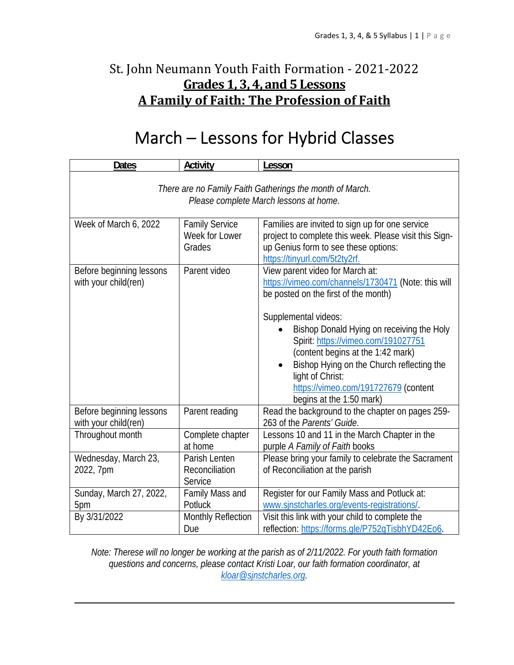## St. John Neumann Youth Faith Formation - 2021-2022 **Grades 1, 3, 4, and 5 Lessons A Family of Faith: The Profession of Faith**

# March – Lessons for Hybrid Classes

| <b>Dates</b>                                                                                       | <b>Activity</b>                                   | Lesson                                                                                                                                                                                                                                                                             |
|----------------------------------------------------------------------------------------------------|---------------------------------------------------|------------------------------------------------------------------------------------------------------------------------------------------------------------------------------------------------------------------------------------------------------------------------------------|
| There are no Family Faith Gatherings the month of March.<br>Please complete March lessons at home. |                                                   |                                                                                                                                                                                                                                                                                    |
| Week of March 6, 2022                                                                              | <b>Family Service</b><br>Week for Lower<br>Grades | Families are invited to sign up for one service<br>project to complete this week. Please visit this Sign-<br>up Genius form to see these options:<br>https://tinyurl.com/5t2ty2rf.                                                                                                 |
| Before beginning lessons<br>with your child(ren)                                                   | Parent video                                      | View parent video for March at:<br>https://vimeo.com/channels/1730471 (Note: this will<br>be posted on the first of the month)                                                                                                                                                     |
|                                                                                                    |                                                   | Supplemental videos:<br>Bishop Donald Hying on receiving the Holy<br>Spirit: https://vimeo.com/191027751<br>(content begins at the 1:42 mark)<br>Bishop Hying on the Church reflecting the<br>light of Christ:<br>https://vimeo.com/191727679 (content<br>begins at the 1:50 mark) |
| Before beginning lessons<br>with your child(ren)                                                   | Parent reading                                    | Read the background to the chapter on pages 259-<br>263 of the Parents' Guide.                                                                                                                                                                                                     |
| Throughout month                                                                                   | Complete chapter<br>at home                       | Lessons 10 and 11 in the March Chapter in the<br>purple A Family of Faith books                                                                                                                                                                                                    |
| Wednesday, March 23,<br>2022, 7pm                                                                  | Parish Lenten<br>Reconciliation<br>Service        | Please bring your family to celebrate the Sacrament<br>of Reconciliation at the parish                                                                                                                                                                                             |
| Sunday, March 27, 2022,<br>5pm                                                                     | Family Mass and<br>Potluck                        | Register for our Family Mass and Potluck at:<br>www.sinstcharles.org/events-registrations/                                                                                                                                                                                         |
| By 3/31/2022                                                                                       | Monthly Reflection<br>Due                         | Visit this link with your child to complete the<br>reflection: https://forms.gle/P752qTisbhYD42Eo6.                                                                                                                                                                                |

*Note: Therese will no longer be working at the parish as of 2/11/2022. For youth faith formation questions and concerns, please contact Kristi Loar, our faith formation coordinator, at kloar@sjnstcharles.org.*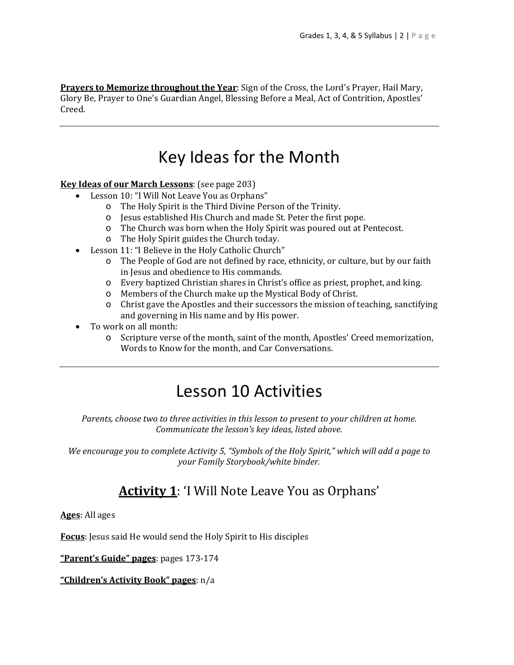**Prayers to Memorize throughout the Year**: Sign of the Cross, the Lord's Prayer, Hail Mary, Glory Be, Prayer to One's Guardian Angel, Blessing Before a Meal, Act of Contrition, Apostles' Creed.

## Key Ideas for the Month

**Key Ideas of our March Lessons**: (see page 203)

- Lesson 10: "I Will Not Leave You as Orphans"
	- o The Holy Spirit is the Third Divine Person of the Trinity.
	- o Jesus established His Church and made St. Peter the first pope.
	- o The Church was born when the Holy Spirit was poured out at Pentecost.
	- o The Holy Spirit guides the Church today.
- Lesson 11: "I Believe in the Holy Catholic Church"
	- o The People of God are not defined by race, ethnicity, or culture, but by our faith in Jesus and obedience to His commands.
	- o Every baptized Christian shares in Christ's office as priest, prophet, and king.
	- o Members of the Church make up the Mystical Body of Christ.
	- o Christ gave the Apostles and their successors the mission of teaching, sanctifying and governing in His name and by His power.
- To work on all month:
	- o Scripture verse of the month, saint of the month, Apostles' Creed memorization, Words to Know for the month, and Car Conversations.

## Lesson 10 Activities

*Parents, choose two to three activities in this lesson to present to your children at home. Communicate the lesson's key ideas, listed above.*

*We encourage you to complete Activity 5, "Symbols of the Holy Spirit," which will add a page to your Family Storybook/white binder.*

### **Activity 1**: 'I Will Note Leave You as Orphans'

**Ages**: All ages

**Focus**: Jesus said He would send the Holy Spirit to His disciples

**"Parent's Guide" pages**: pages 173-174

**"Children's Activity Book" pages**: n/a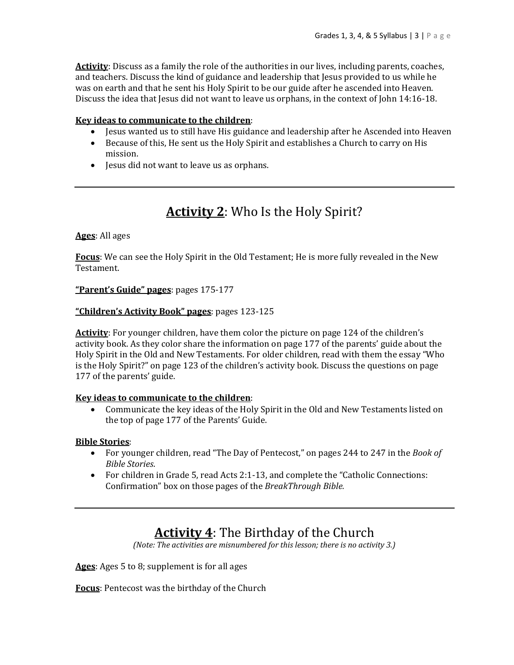**Activity**: Discuss as a family the role of the authorities in our lives, including parents, coaches, and teachers. Discuss the kind of guidance and leadership that Jesus provided to us while he was on earth and that he sent his Holy Spirit to be our guide after he ascended into Heaven. Discuss the idea that Jesus did not want to leave us orphans, in the context of John 14:16-18.

#### **Key ideas to communicate to the children**:

- Jesus wanted us to still have His guidance and leadership after he Ascended into Heaven
- Because of this, He sent us the Holy Spirit and establishes a Church to carry on His mission.
- Jesus did not want to leave us as orphans.

## **Activity 2**: Who Is the Holy Spirit?

#### **Ages**: All ages

**Focus**: We can see the Holy Spirit in the Old Testament; He is more fully revealed in the New Testament.

**"Parent's Guide" pages**: pages 175-177

#### **"Children's Activity Book" pages**: pages 123-125

**Activity**: For younger children, have them color the picture on page 124 of the children's activity book. As they color share the information on page 177 of the parents' guide about the Holy Spirit in the Old and New Testaments. For older children, read with them the essay "Who is the Holy Spirit?" on page 123 of the children's activity book. Discuss the questions on page 177 of the parents' guide.

#### **Key ideas to communicate to the children**:

 Communicate the key ideas of the Holy Spirit in the Old and New Testaments listed on the top of page 177 of the Parents' Guide.

#### **Bible Stories**:

- For younger children, read "The Day of Pentecost," on pages 244 to 247 in the *Book of Bible Stories*.
- For children in Grade 5, read Acts 2:1-13, and complete the "Catholic Connections: Confirmation" box on those pages of the *BreakThrough Bible.*

### **Activity 4**: The Birthday of the Church

*(Note: The activities are misnumbered for this lesson; there is no activity 3.)*

**Ages**: Ages 5 to 8; supplement is for all ages

**Focus**: Pentecost was the birthday of the Church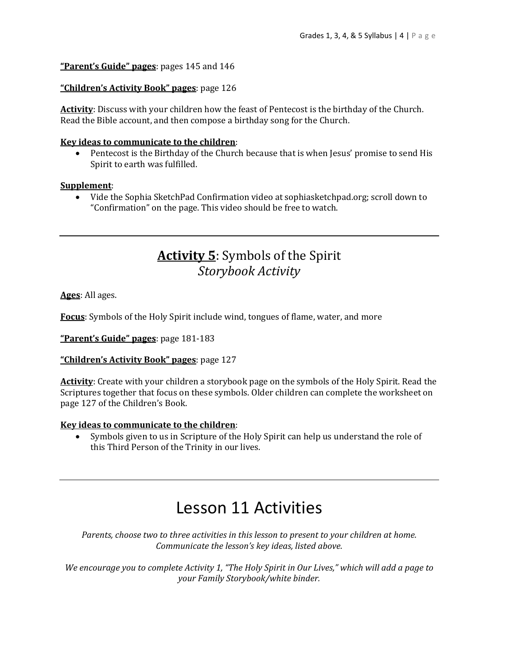#### **"Parent's Guide" pages**: pages 145 and 146

#### **"Children's Activity Book" pages**: page 126

**Activity**: Discuss with your children how the feast of Pentecost is the birthday of the Church. Read the Bible account, and then compose a birthday song for the Church.

#### **Key ideas to communicate to the children**:

 Pentecost is the Birthday of the Church because that is when Jesus' promise to send His Spirit to earth was fulfilled.

#### **Supplement**:

 Vide the Sophia SketchPad Confirmation video at sophiasketchpad.org; scroll down to "Confirmation" on the page. This video should be free to watch.

### **Activity 5**: Symbols of the Spirit *Storybook Activity*

**Ages**: All ages.

**Focus**: Symbols of the Holy Spirit include wind, tongues of flame, water, and more

**"Parent's Guide" pages**: page 181-183

#### **"Children's Activity Book" pages**: page 127

**Activity**: Create with your children a storybook page on the symbols of the Holy Spirit. Read the Scriptures together that focus on these symbols. Older children can complete the worksheet on page 127 of the Children's Book.

#### **Key ideas to communicate to the children**:

 Symbols given to us in Scripture of the Holy Spirit can help us understand the role of this Third Person of the Trinity in our lives.

## Lesson 11 Activities

*Parents, choose two to three activities in this lesson to present to your children at home. Communicate the lesson's key ideas, listed above.*

We encourage you to complete Activity 1, "The Holy Spirit in Our Lives," which will add a page to *your Family Storybook/white binder.*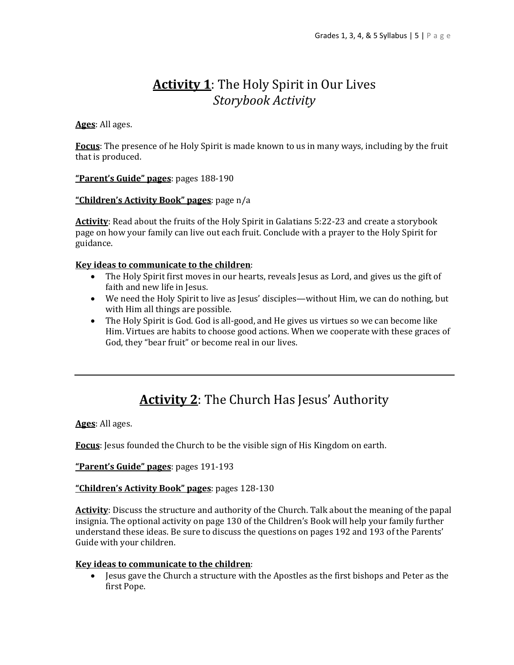## **Activity 1**: The Holy Spirit in Our Lives *Storybook Activity*

#### **Ages**: All ages.

**Focus**: The presence of he Holy Spirit is made known to us in many ways, including by the fruit that is produced.

#### **"Parent's Guide" pages**: pages 188-190

#### **"Children's Activity Book" pages**: page n/a

**Activity**: Read about the fruits of the Holy Spirit in Galatians 5:22-23 and create a storybook page on how your family can live out each fruit. Conclude with a prayer to the Holy Spirit for guidance.

#### **Key ideas to communicate to the children**:

- The Holy Spirit first moves in our hearts, reveals Jesus as Lord, and gives us the gift of faith and new life in Jesus.
- We need the Holy Spirit to live as Jesus' disciples—without Him, we can do nothing, but with Him all things are possible.
- The Holy Spirit is God. God is all-good, and He gives us virtues so we can become like Him. Virtues are habits to choose good actions. When we cooperate with these graces of God, they "bear fruit" or become real in our lives.

## **Activity 2**: The Church Has Jesus' Authority

**Ages**: All ages.

**Focus**: Jesus founded the Church to be the visible sign of His Kingdom on earth.

**"Parent's Guide" pages**: pages 191-193

#### **"Children's Activity Book" pages**: pages 128-130

**Activity**: Discuss the structure and authority of the Church. Talk about the meaning of the papal insignia. The optional activity on page 130 of the Children's Book will help your family further understand these ideas. Be sure to discuss the questions on pages 192 and 193 of the Parents' Guide with your children.

#### **Key ideas to communicate to the children**:

• Jesus gave the Church a structure with the Apostles as the first bishops and Peter as the first Pope.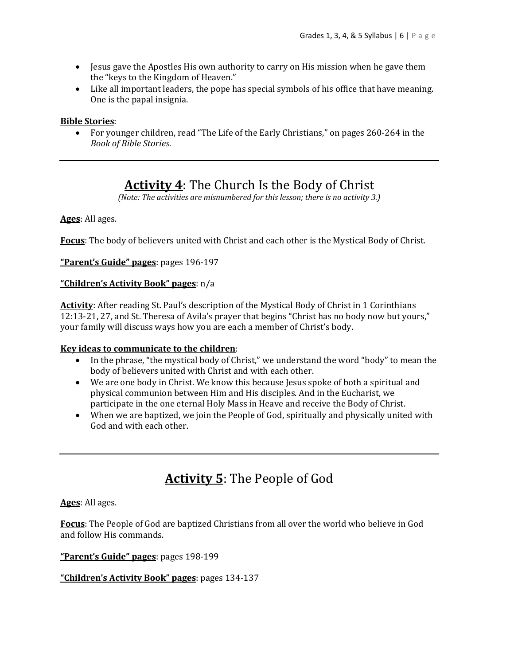- Jesus gave the Apostles His own authority to carry on His mission when he gave them the "keys to the Kingdom of Heaven."
- Like all important leaders, the pope has special symbols of his office that have meaning. One is the papal insignia.

#### **Bible Stories**:

 For younger children, read "The Life of the Early Christians," on pages 260-264 in the *Book of Bible Stories*.

## **Activity 4**: The Church Is the Body of Christ

*(Note: The activities are misnumbered for this lesson; there is no activity 3.)*

#### **Ages**: All ages.

**Focus**: The body of believers united with Christ and each other is the Mystical Body of Christ.

**"Parent's Guide" pages**: pages 196-197

#### **"Children's Activity Book" pages**: n/a

**Activity**: After reading St. Paul's description of the Mystical Body of Christ in 1 Corinthians 12:13-21, 27, and St. Theresa of Avila's prayer that begins "Christ has no body now but yours," your family will discuss ways how you are each a member of Christ's body.

#### **Key ideas to communicate to the children**:

- In the phrase, "the mystical body of Christ," we understand the word "body" to mean the body of believers united with Christ and with each other.
- We are one body in Christ. We know this because Jesus spoke of both a spiritual and physical communion between Him and His disciples. And in the Eucharist, we participate in the one eternal Holy Mass in Heave and receive the Body of Christ.
- When we are baptized, we join the People of God, spiritually and physically united with God and with each other.

## **Activity 5**: The People of God

**Ages**: All ages.

**Focus**: The People of God are baptized Christians from all over the world who believe in God and follow His commands.

**"Parent's Guide" pages**: pages 198-199

**"Children's Activity Book" pages**: pages 134-137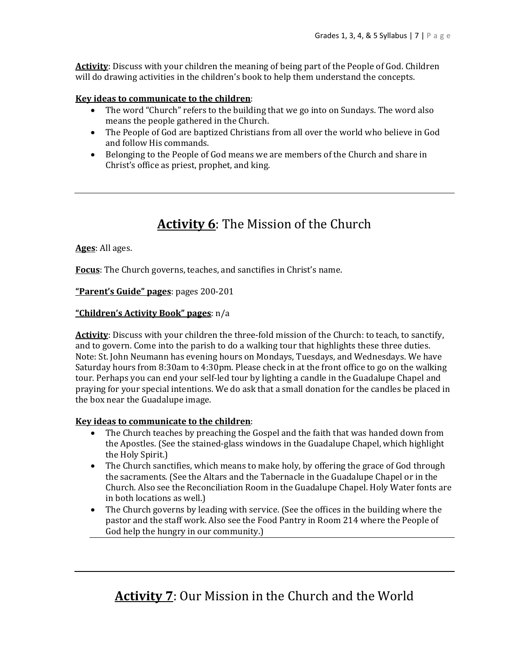**Activity**: Discuss with your children the meaning of being part of the People of God. Children will do drawing activities in the children's book to help them understand the concepts.

#### **Key ideas to communicate to the children**:

- The word "Church" refers to the building that we go into on Sundays. The word also means the people gathered in the Church.
- The People of God are baptized Christians from all over the world who believe in God and follow His commands.
- Belonging to the People of God means we are members of the Church and share in Christ's office as priest, prophet, and king.

## **Activity 6**: The Mission of the Church

#### **Ages**: All ages.

**Focus**: The Church governs, teaches, and sanctifies in Christ's name.

#### **"Parent's Guide" pages**: pages 200-201

#### **"Children's Activity Book" pages**: n/a

**Activity**: Discuss with your children the three-fold mission of the Church: to teach, to sanctify, and to govern. Come into the parish to do a walking tour that highlights these three duties. Note: St. John Neumann has evening hours on Mondays, Tuesdays, and Wednesdays. We have Saturday hours from 8:30am to 4:30pm. Please check in at the front office to go on the walking tour. Perhaps you can end your self-led tour by lighting a candle in the Guadalupe Chapel and praying for your special intentions. We do ask that a small donation for the candles be placed in the box near the Guadalupe image.

#### **Key ideas to communicate to the children**:

- The Church teaches by preaching the Gospel and the faith that was handed down from the Apostles. (See the stained-glass windows in the Guadalupe Chapel, which highlight the Holy Spirit.)
- The Church sanctifies, which means to make holy, by offering the grace of God through the sacraments. (See the Altars and the Tabernacle in the Guadalupe Chapel or in the Church. Also see the Reconciliation Room in the Guadalupe Chapel. Holy Water fonts are in both locations as well.)
- The Church governs by leading with service. (See the offices in the building where the pastor and the staff work. Also see the Food Pantry in Room 214 where the People of God help the hungry in our community.)

## **Activity 7**: Our Mission in the Church and the World